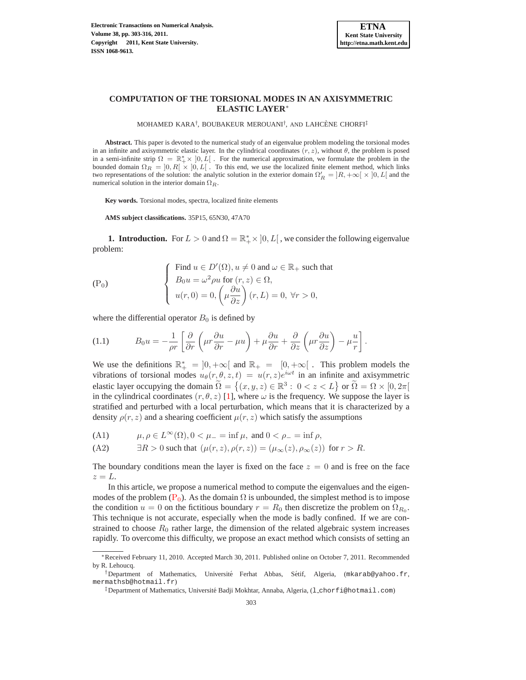

# **COMPUTATION OF THE TORSIONAL MODES IN AN AXISYMMETRIC ELASTIC LAYER**<sup>∗</sup>

MOHAMED KARA<sup>†</sup>, BOUBAKEUR MEROUANI<sup>†</sup>, AND LAHCÈNE CHORFI<sup>‡</sup>

**Abstract.** This paper is devoted to the numerical study of an eigenvalue problem modeling the torsional modes in an infinite and axisymmetric elastic layer. In the cylindrical coordinates  $(r, z)$ , without  $\theta$ , the problem is posed in a semi-infinite strip  $\Omega = \mathbb{R}_+^* \times [0, L]$ . For the numerical approximation, we formulate the problem in the bounded domain  $\Omega_R = [0, R] \times [0, L]$ . To this end, we use the localized finite element method, which links two representations of the solution: the analytic solution in the exterior domain  $\Omega'_R = [R, +\infty[ \times ]0, L]$  and the numerical solution in the interior domain  $\Omega_R$ .

**Key words.** Torsional modes, spectra, localized finite elements

**AMS subject classifications.** 35P15, 65N30, 47A70

**1. Introduction.** For  $L > 0$  and  $\Omega = \mathbb{R}_+^* \times [0, L]$ , we consider the following eigenvalue problem:

<span id="page-0-0"></span>
$$
\begin{cases}\n\text{Find } u \in D'(\Omega), u \neq 0 \text{ and } \omega \in \mathbb{R}_+ \text{ such that} \\
B_0 u = \omega^2 \rho u \text{ for } (r, z) \in \Omega, \\
u(r, 0) = 0, \left(\mu \frac{\partial u}{\partial z}\right)(r, L) = 0, \forall r > 0,\n\end{cases}
$$

where the differential operator  $B_0$  is defined by

(1.1) 
$$
B_0 u = -\frac{1}{\rho r} \left[ \frac{\partial}{\partial r} \left( \mu r \frac{\partial u}{\partial r} - \mu u \right) + \mu \frac{\partial u}{\partial r} + \frac{\partial}{\partial z} \left( \mu r \frac{\partial u}{\partial z} \right) - \mu \frac{u}{r} \right].
$$

We use the definitions  $\mathbb{R}^*_+ = ]0, +\infty[$  and  $\mathbb{R}_+ = [0, +\infty[$ . This problem models the vibrations of torsional modes  $u_{\theta}(r, \theta, z, t) = u(r, z)e^{i\omega t}$  in an infinite and axisymmetric elastic layer occupying the domain  $\widetilde{\Omega} = \{(x, y, z) \in \mathbb{R}^3 : 0 < z < L\}$  or  $\widetilde{\Omega} = \Omega \times [0, 2\pi[$ in the cylindrical coordinates  $(r, \theta, z)$  [\[1\]](#page-13-0), where  $\omega$  is the frequency. We suppose the layer is stratified and perturbed with a local perturbation, which means that it is characterized by a density  $\rho(r, z)$  and a shearing coefficient  $\mu(r, z)$  which satisfy the assumptions

(A1) 
$$
\mu, \rho \in L^{\infty}(\Omega), 0 < \mu_{-} = \inf \mu
$$
, and  $0 < \rho_{-} = \inf \rho$ ,

(A2) 
$$
\exists R > 0 \text{ such that } (\mu(r, z), \rho(r, z)) = (\mu_{\infty}(z), \rho_{\infty}(z)) \text{ for } r > R.
$$

The boundary conditions mean the layer is fixed on the face  $z = 0$  and is free on the face  $z = L$ .

In this article, we propose a numerical method to compute the eigenvalues and the eigenmodes of the problem ( $P_0$  $P_0$ ). As the domain  $\Omega$  is unbounded, the simplest method is to impose the condition  $u = 0$  on the fictitious boundary  $r = R_0$  then discretize the problem on  $\Omega_{R_0}$ . This technique is not accurate, especially when the mode is badly confined. If we are constrained to choose  $R_0$  rather large, the dimension of the related algebraic system increases rapidly. To overcome this difficulty, we propose an exact method which consists of setting an

<sup>∗</sup>Received February 11, 2010. Accepted March 30, 2011. Published online on October 7, 2011. Recommended by R. Lehoucq.

<sup>&</sup>lt;sup>†</sup>Department of Mathematics, Université Ferhat Abbas, Sétif, Algeria, ( $\mathfrak{m}$ karab@yahoo.fr, mermathsb@hotmail.fr)

<sup>&</sup>lt;sup>‡</sup>Department of Mathematics, Université Badji Mokhtar, Annaba, Algeria, (1\_chorfi@hotmail.com)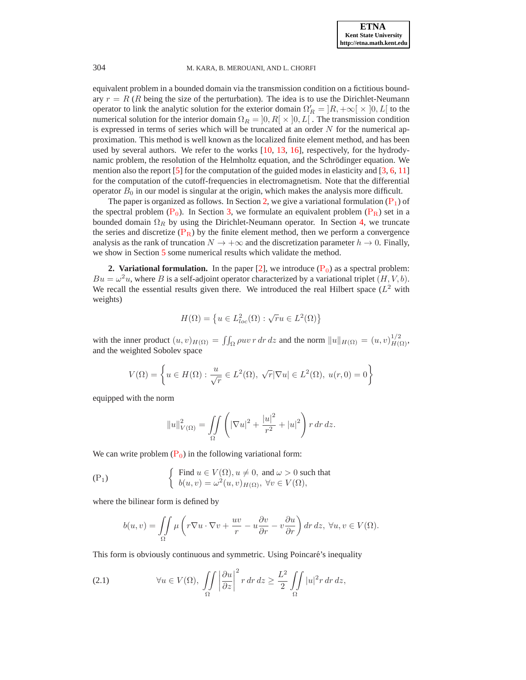equivalent problem in a bounded domain via the transmission condition on a fictitious boundary  $r = R$  (R being the size of the perturbation). The idea is to use the Dirichlet-Neumann operator to link the analytic solution for the exterior domain  $\Omega'_R = [R, +\infty[ \times ]0, L]$  to the numerical solution for the interior domain  $\Omega_R = ]0, R[ \times ]0, L[$ . The transmission condition is expressed in terms of series which will be truncated at an order  $N$  for the numerical approximation. This method is well known as the localized finite element method, and has been used by several authors. We refer to the works [\[10,](#page-13-1) [13](#page-13-2), [16\]](#page-13-3), respectively, for the hydrodynamic problem, the resolution of the Helmholtz equation, and the Schrödinger equation. We mention also the report  $[5]$  for the computation of the guided modes in elasticity and  $[3, 6, 11]$  $[3, 6, 11]$  $[3, 6, 11]$  $[3, 6, 11]$  $[3, 6, 11]$ for the computation of the cutoff-frequencies in electromagnetism. Note that the differential operator  $B_0$  in our model is singular at the origin, which makes the analysis more difficult.

The paper is organized as follows. In Section [2,](#page-1-0) we give a variational formulation  $(P_1)$  $(P_1)$  $(P_1)$  of the spectral problem  $(P_0)$  $(P_0)$  $(P_0)$ . In Section [3,](#page-3-0) we formulate an equivalent problem  $(P_R)$  set in a bounded domain  $\Omega_R$  by using the Dirichlet-Neumann operator. In Section [4,](#page-8-0) we truncate the series and discretize  $(P_R)$  $(P_R)$  $(P_R)$  by the finite element method, then we perform a convergence analysis as the rank of truncation  $N \to +\infty$  and the discretization parameter  $h \to 0$ . Finally, we show in Section [5](#page-11-0) some numerical results which validate the method.

<span id="page-1-0"></span>**2. Variational formulation.** In the paper [\[2\]](#page-13-8), we introduce  $(P_0)$  $(P_0)$  $(P_0)$  as a spectral problem:  $Bu = \omega^2 u$ , where B is a self-adjoint operator characterized by a variational triplet  $(H, V, b)$ . We recall the essential results given there. We introduced the real Hilbert space  $(L^2$  with weights)

$$
H(\Omega) = \left\{ u \in L^2_{loc}(\Omega) : \sqrt{r}u \in L^2(\Omega) \right\}
$$

with the inner product  $(u, v)_{H(\Omega)} = \iint_{\Omega} \rho uv \, r \, dr \, dz$  and the norm  $||u||_{H(\Omega)} = (u, v)_{H(\Omega)}^{1/2}$ , and the weighted Sobolev space

$$
V(\Omega) = \left\{ u \in H(\Omega) : \frac{u}{\sqrt{r}} \in L^2(\Omega), \sqrt{r} |\nabla u| \in L^2(\Omega), u(r, 0) = 0 \right\}
$$

equipped with the norm

$$
||u||_{V(\Omega)}^2 = \iint_{\Omega} \left( |\nabla u|^2 + \frac{|u|^2}{r^2} + |u|^2 \right) r \, dr \, dz.
$$

We can write problem  $(P_0)$  $(P_0)$  $(P_0)$  in the following variational form:

<span id="page-1-1"></span>
$$
\begin{cases}\n\text{Find } u \in V(\Omega), u \neq 0, \text{ and } \omega > 0 \text{ such that} \\
b(u, v) = \omega^2(u, v)_{H(\Omega)}, \forall v \in V(\Omega),\n\end{cases}
$$

where the bilinear form is defined by

$$
b(u,v) = \iint_{\Omega} \mu \left( r \nabla u \cdot \nabla v + \frac{uv}{r} - u \frac{\partial v}{\partial r} - v \frac{\partial u}{\partial r} \right) dr dz, \ \forall u, v \in V(\Omega).
$$

This form is obviously continuous and symmetric. Using Poincare's inequality ´

<span id="page-1-2"></span>(2.1) 
$$
\forall u \in V(\Omega), \iint_{\Omega} \left| \frac{\partial u}{\partial z} \right|^2 r dr dz \geq \frac{L^2}{2} \iint_{\Omega} |u|^2 r dr dz,
$$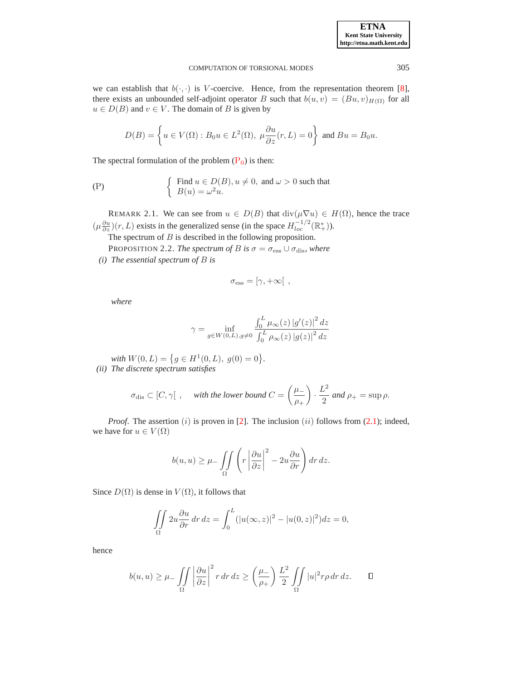we can establish that  $b(\cdot, \cdot)$  is V-coercive. Hence, from the representation theorem [\[8](#page-13-9)], there exists an unbounded self-adjoint operator B such that  $b(u, v) = (Bu, v)_{H(\Omega)}$  for all  $u \in D(B)$  and  $v \in V$ . The domain of B is given by

$$
D(B) = \left\{ u \in V(\Omega) : B_0 u \in L^2(\Omega), \ \mu \frac{\partial u}{\partial z}(r, L) = 0 \right\} \text{ and } Bu = B_0 u.
$$

The spectral formulation of the problem  $(P_0)$  $(P_0)$  $(P_0)$  is then:

<span id="page-2-0"></span>
$$
\begin{cases}\n\text{Find } u \in D(B), u \neq 0, \text{ and } \omega > 0 \text{ such that} \\
B(u) = \omega^2 u.\n\end{cases}
$$

REMARK 2.1. We can see from  $u \in D(B)$  that  $\text{div}(\mu \nabla u) \in H(\Omega)$ , hence the trace  $(\mu \frac{\partial u}{\partial z})(r, L)$  exists in the generalized sense (in the space  $H^{-1/2}_{loc}(\mathbb{R}^*_+)$ ).

The spectrum of  $B$  is described in the following proposition.

PROPOSITION 2.2. *The spectrum of B is*  $\sigma = \sigma_{\text{ess}} \cup \sigma_{\text{dis}}$ *, where* 

*(i) The essential spectrum of* B *is*

$$
\sigma_{\rm ess}=[\gamma,+\infty[ \ ,
$$

*where*

$$
\gamma = \inf_{g \in W(0,L), g \neq 0} \frac{\int_0^L \mu_{\infty}(z) |g'(z)|^2 dz}{\int_0^L \rho_{\infty}(z) |g(z)|^2 dz}
$$

with  $W(0, L) = \{ g \in H^1(0, L), g(0) = 0 \}.$ *(ii) The discrete spectrum satisfies*

$$
\sigma_{\text{dis}} \subset [C, \gamma[ , \quad \text{with the lower bound } C = \left(\frac{\mu_-}{\rho_+}\right) \cdot \frac{L^2}{2} \text{ and } \rho_+ = \sup \rho.
$$

*Proof.* The assertion  $(i)$  is proven in [\[2\]](#page-13-8). The inclusion  $(ii)$  follows from [\(2.1\)](#page-1-2); indeed, we have for  $u \in V(\Omega)$ 

$$
b(u, u) \ge \mu - \iint_{\Omega} \left( r \left| \frac{\partial u}{\partial z} \right|^{2} - 2u \frac{\partial u}{\partial r} \right) dr dz.
$$

Since  $D(\Omega)$  is dense in  $V(\Omega)$ , it follows that

$$
\iint\limits_{\Omega} 2u \frac{\partial u}{\partial r} dr dz = \int_0^L (|u(\infty, z)|^2 - |u(0, z)|^2) dz = 0,
$$

hence

$$
b(u, u) \ge \mu - \iint_{\Omega} \left| \frac{\partial u}{\partial z} \right|^2 r \, dr \, dz \ge \left( \frac{\mu -}{\rho +} \right) \frac{L^2}{2} \iint_{\Omega} |u|^2 r \rho \, dr \, dz. \qquad \Box
$$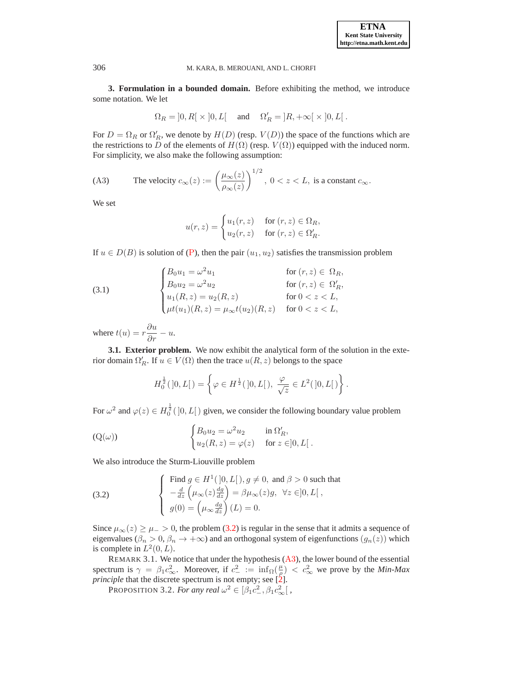**3. Formulation in a bounded domain.** Before exhibiting the method, we introduce some notation. We let

$$
\Omega_R = \left]0, R\right[ \times \left]0, L\right[ \quad \text{ and } \quad \Omega_R' = \left]R, +\infty\right[ \times \left]0, L\right[.
$$

For  $D = \Omega_R$  or  $\Omega'_R$ , we denote by  $H(D)$  (resp.  $V(D)$ ) the space of the functions which are the restrictions to D of the elements of  $H(\Omega)$  (resp.  $V(\Omega)$ ) equipped with the induced norm. For simplicity, we also make the following assumption:

<span id="page-3-2"></span>(A3) The velocity 
$$
c_{\infty}(z) := \left(\frac{\mu_{\infty}(z)}{\rho_{\infty}(z)}\right)^{1/2}
$$
,  $0 < z < L$ , is a constant  $c_{\infty}$ .

We set

$$
u(r,z) = \begin{cases} u_1(r,z) & \text{for } (r,z) \in \Omega_R, \\ u_2(r,z) & \text{for } (r,z) \in \Omega'_R. \end{cases}
$$

If  $u \in D(B)$  is solution of ([P](#page-2-0)), then the pair  $(u_1, u_2)$  satisfies the transmission problem

<span id="page-3-4"></span>(3.1) 
$$
\begin{cases} B_0 u_1 = \omega^2 u_1 & \text{for } (r, z) \in \Omega_R, \\ B_0 u_2 = \omega^2 u_2 & \text{for } (r, z) \in \Omega'_R, \\ u_1(R, z) = u_2(R, z) & \text{for } 0 < z < L, \\ \mu t(u_1)(R, z) = \mu_\infty t(u_2)(R, z) & \text{for } 0 < z < L, \end{cases}
$$

where  $t(u) = r \frac{\partial u}{\partial r} - u$ .

**3.1. Exterior problem.** We now exhibit the analytical form of the solution in the exterior domain  $\Omega_R'$ . If  $u \in V(\Omega)$  then the trace  $u(R, z)$  belongs to the space

$$
H_0^{\frac{1}{2}}([0,L[)) = \left\{ \varphi \in H^{\frac{1}{2}}([0,L[)), \frac{\varphi}{\sqrt{z}} \in L^2([0,L[)) \right\}.
$$

For  $\omega^2$  and  $\varphi(z) \in H_0^{\frac{1}{2}}(]0,L[$  given, we consider the following boundary value problem

<span id="page-3-3"></span>(Q(
$$
\omega
$$
)) 
$$
\begin{cases} B_0 u_2 = \omega^2 u_2 & \text{in } \Omega_R', \\ u_2(R, z) = \varphi(z) & \text{for } z \in ]0, L[. \end{cases}
$$

We also introduce the Sturm-Liouville problem

<span id="page-3-1"></span>(3.2) 
$$
\begin{cases}\n\text{Find } g \in H^1([0, L]), g \neq 0, \text{ and } \beta > 0 \text{ such that} \\
-\frac{d}{dz} \left(\mu_\infty(z) \frac{dg}{dz}\right) = \beta \mu_\infty(z)g, \ \forall z \in ]0, L[, \\
g(0) = \left(\mu_\infty \frac{dg}{dz}\right)(L) = 0.\n\end{cases}
$$

Since  $\mu_{\infty}(z) \geq \mu_{-} > 0$ , the problem [\(3.2\)](#page-3-1) is regular in the sense that it admits a sequence of eigenvalues ( $\beta_n > 0$ ,  $\beta_n \to +\infty$ ) and an orthogonal system of eigenfunctions  $(g_n(z))$  which is complete in  $L^2(0,L)$ .

REMARK 3.1. We notice that under the hypothesis  $(A3)$  $(A3)$  $(A3)$ , the lower bound of the essential spectrum is  $\gamma = \beta_1 c_\infty^2$ . Moreover, if  $c_-^2 := \inf_{\Omega} (\frac{\mu}{\rho}) < c_\infty^2$  we prove by the *Min-Max principle* that the discrete spectrum is not empty; see [\[2](#page-13-8)].

PROPOSITION 3.2. *For any real*  $\omega^2 \in [\beta_1 c_-^2, \beta_1 c_{\infty}^2]$ ,

<span id="page-3-0"></span>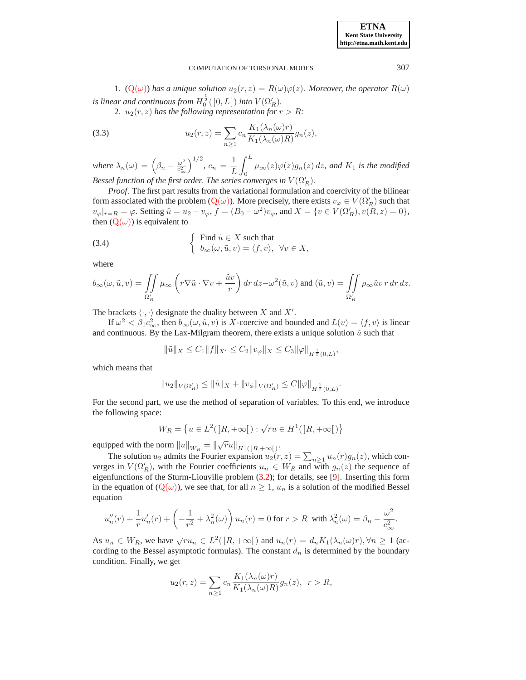1. ( $Q(\omega)$  $Q(\omega)$ ) has a unique solution  $u_2(r, z) = R(\omega) \varphi(z)$ *. Moreover, the operator*  $R(\omega)$ *is linear and continuous from*  $H_0^{\frac{1}{2}}(]0,L[$  *into*  $V(\Omega_R')$ .

<span id="page-4-0"></span>2.  $u_2(r, z)$  *has the following representation for*  $r > R$ *:* 

(3.3) 
$$
u_2(r, z) = \sum_{n \ge 1} c_n \frac{K_1(\lambda_n(\omega)r)}{K_1(\lambda_n(\omega)R)} g_n(z),
$$

*where*  $\lambda_n(\omega) = \left(\beta_n - \frac{\omega^2}{c_{\infty}^2}\right)$  $\overline{c^2_{\infty}}$  $\int^{1/2}$ ,  $c_n = \frac{1}{I}$ L  $\int^L$  $\int_{0}^{\pi} \mu_{\infty}(z) \varphi(z) g_{n}(z) dz$ , and  $K_1$  is the modified Bessel function of the first order. The series converges in  $V(\Omega_R')$ .

*Proof*. The first part results from the variational formulation and coercivity of the bilinear form associated with the problem  $(Q(\omega))$  $(Q(\omega))$  $(Q(\omega))$ . More precisely, there exists  $v_{\varphi} \in V(\Omega'_R)$  such that  $v_{\varphi}|_{r=R} = \varphi$ . Setting  $\tilde{u} = u_2 - v_{\varphi}$ ,  $f = (B_0 - \omega^2)v_{\varphi}$ , and  $X = \{v \in V(\Omega_R'), v(R, z) = 0\}$ , then  $(Q(\omega))$  $(Q(\omega))$  $(Q(\omega))$  is equivalent to

(3.4) 
$$
\begin{cases} \text{Find } \tilde{u} \in X \text{ such that} \\ b_{\infty}(\omega, \tilde{u}, v) = \langle f, v \rangle, \ \forall v \in X, \end{cases}
$$

where

$$
b_\infty(\omega,\tilde u,v)=\iint\limits_{\Omega_R'}\mu_\infty\left(r\nabla\tilde u\cdot\nabla v+\frac{\tilde uv}{r}\right)dr\,dz-\omega^2(\tilde u,v)\text{ and }(\tilde u,v)=\iint\limits_{\Omega_R'}\rho_\infty\tilde u v\,r\,dr\,dz.
$$

The brackets  $\langle \cdot, \cdot \rangle$  designate the duality between X and X'.

If  $\omega^2 < \beta_1 c_\infty^2$ , then  $b_\infty(\omega, \tilde{u}, v)$  is X-coercive and bounded and  $L(v) = \langle f, v \rangle$  is linear and continuous. By the Lax-Milgram theorem, there exists a unique solution  $\tilde{u}$  such that

$$
\|\tilde{u}\|_{X} \leq C_1 \|f\|_{X'} \leq C_2 \|v_{\varphi}\|_{X} \leq C_3 \|\varphi\|_{H^{\frac{1}{2}}(0,L)},
$$

which means that

$$
||u_2||_{V(\Omega'_R)} \le ||\tilde{u}||_X + ||v_{\phi}||_{V(\Omega'_R)} \le C ||\varphi||_{H^{\frac{1}{2}}(0,L)}.
$$

For the second part, we use the method of separation of variables. To this end, we introduce the following space:

$$
W_R=\left\{u\in L^2(\left]R,+\infty\right[)\text{ : }\sqrt{r}u\in H^1(\left]R,+\infty\right[)\right\}
$$

equipped with the norm  $||u||_{W_R} = ||\sqrt{r}u||_{H^1(]R, +\infty[}$ .

The solution  $u_2$  admits the Fourier expansion  $u_2(r, z) = \sum_{n \geq 1} u_n(r) g_n(z)$ , which converges in  $V(\Omega'_R)$ , with the Fourier coefficients  $u_n \in W_R$  and with  $g_n(z)$  the sequence of eigenfunctions of the Sturm-Liouville problem [\(3.2\)](#page-3-1); for details, see [\[9](#page-13-10)]. Inserting this form in the equation of  $(Q(\omega))$  $(Q(\omega))$  $(Q(\omega))$ , we see that, for all  $n \geq 1$ ,  $u_n$  is a solution of the modified Bessel equation

$$
u''_n(r) + \frac{1}{r}u'_n(r) + \left(-\frac{1}{r^2} + \lambda_n^2(\omega)\right)u_n(r) = 0 \text{ for } r > R \text{ with } \lambda_n^2(\omega) = \beta_n - \frac{\omega^2}{c_{\infty}^2}.
$$

As  $u_n \in W_R$ , we have  $\sqrt{r}u_n \in L^2(]R, +\infty[$  and  $u_n(r) = d_nK_1(\lambda_n(\omega)r), \forall n \ge 1$  (according to the Bessel asymptotic formulas). The constant  $d_n$  is determined by the boundary condition. Finally, we get

$$
u_2(r,z) = \sum_{n\geq 1} c_n \frac{K_1(\lambda_n(\omega)r)}{K_1(\lambda_n(\omega)R)} g_n(z), \quad r > R,
$$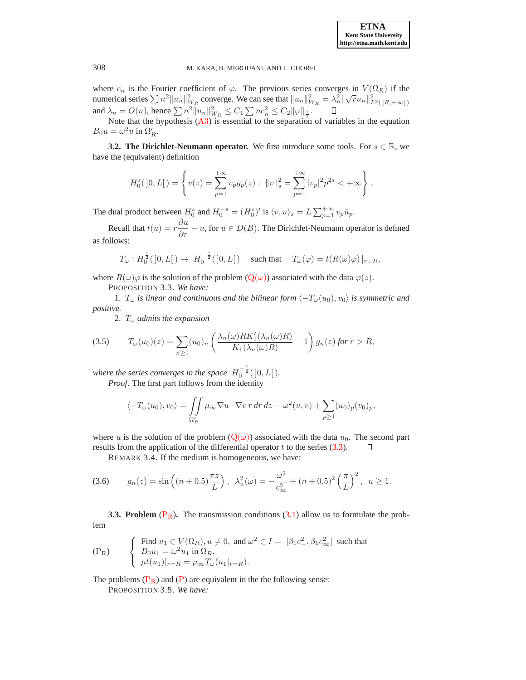where  $c_n$  is the Fourier coefficient of  $\varphi$ . The previous series converges in  $V(\Omega_R)$  if the numerical series  $\sum n^2 ||u_n||^2_{W_R}$  converge. We can see that  $||u_n||^2_{W_R} = \lambda_n^2 ||\sqrt{r}u_n||^2_{L^2(|R, +\infty|)}$ and  $\lambda_n = O(n)$ , hence  $\sum n^2 ||u_n||_{W_R}^2 \le C_1 \sum nc_n^2 \le C_2 ||\varphi||_{\frac{1}{2}}$ .

Note that the hypothesis  $(A3)$  $(A3)$  $(A3)$  is essential to the separation of variables in the equation  $B_0 u = \omega^2 u$  in  $\Omega'_R$ .

**3.2. The Dirichlet-Neumann operator.** We first introduce some tools. For  $s \in \mathbb{R}$ , we have the (equivalent) definition

$$
H_0^s([0,L]) = \left\{ v(z) = \sum_{p=1}^{+\infty} v_p g_p(z) : ||v||_s^2 = \sum_{p=1}^{+\infty} |v_p|^2 p^{2s} < +\infty \right\}.
$$

The dual product between  $H_0^s$  and  $H_0^{-s} = (H_0^s)'$  is  $\langle v, u \rangle_s = L \sum_{p=1}^{+\infty} v_p \bar{u}_p$ .

Recall that  $t(u) = r \frac{\partial u}{\partial r} - u$ , for  $u \in D(B)$ . The Dirichlet-Neumann operator is defined as follows:

$$
T_{\omega}: H_0^{\frac{1}{2}}([0,L]) \to H_0^{-\frac{1}{2}}([0,L]) \quad \text{ such that } \quad T_{\omega}(\varphi) = t(R(\omega)\varphi)|_{r=R},
$$

where  $R(\omega)\varphi$  is the solution of the problem  $(Q(\omega))$  $(Q(\omega))$  $(Q(\omega))$  associated with the data  $\varphi(z)$ .

PROPOSITION 3.3. *We have:*

1.  $T_{\omega}$  *is linear and continuous and the bilinear form*  $\langle -T_{\omega}(u_0), v_0 \rangle$  *is symmetric and positive.*

<span id="page-5-1"></span>2. T<sup>ω</sup> *admits the expansion*

$$
(3.5) \t\t T_{\omega}(u_0)(z) = \sum_{n\geq 1} (u_0)_n \left( \frac{\lambda_n(\omega) R K_1'(\lambda_n(\omega) R)}{K_1(\lambda_n(\omega) R)} - 1 \right) g_n(z) \text{ for } r > R,
$$

where the series converges in the space  $H_0^{-\frac{1}{2}}(]0,L[$   $).$ *Proof*. The first part follows from the identity

$$
\langle -T_{\omega}(u_0), v_0 \rangle = \iint_{\Omega'_R} \mu_{\infty} \nabla u \cdot \nabla v \, r \, dr \, dz - \omega^2(u, v) + \sum_{p \ge 1} (u_0)_p (v_0)_p,
$$

where u is the solution of the problem  $(Q(\omega))$  $(Q(\omega))$  $(Q(\omega))$  associated with the data  $u_0$ . The second part results from the application of the differential operator  $t$  to the series [\(3.3\)](#page-4-0).  $\Box$ 

REMARK 3.4. If the medium is homogeneous, we have:

$$
(3.6) \t g_n(z) = \sin\left((n+0.5)\frac{\pi z}{L}\right), \quad \lambda_n^2(\omega) = -\frac{\omega^2}{c_\infty^2} + (n+0.5)^2 \left(\frac{\pi}{L}\right)^2, \quad n \ge 1.
$$

**3.3. [P](#page-5-0)roblem**  $(P_R)$ . The transmission conditions [\(3.1\)](#page-3-4) allow us to formulate the problem

<span id="page-5-0"></span>
$$
\begin{cases}\n\text{Find } u_1 \in V(\Omega_R), u \neq 0, \text{ and } \omega^2 \in I = [\beta_1 c_-^2, \beta_1 c_{\infty}^2] \text{ such that} \\
B_0 u_1 = \omega^2 u_1 \text{ in } \Omega_R, \\
\mu t(u_1)|_{r=R} = \mu_{\infty} T_{\omega}(u_1|_{r=R}).\n\end{cases}
$$

The problems  $(P_R)$  $(P_R)$  $(P_R)$  and  $(P)$  are equivalent in the the following sense:

PROPOSITION 3.5. *We have:*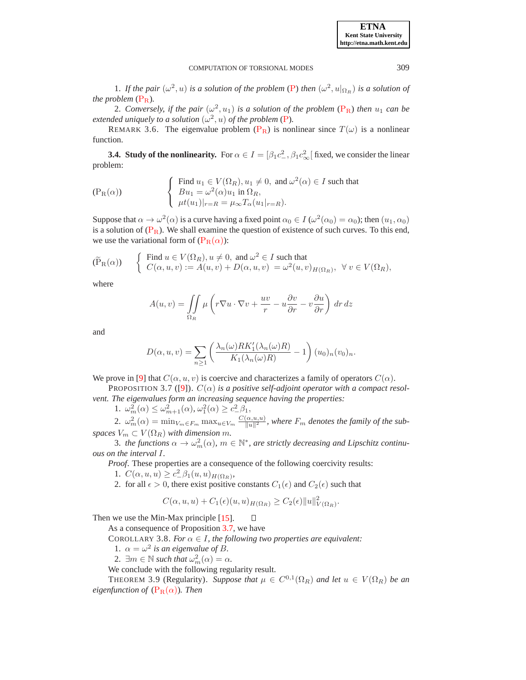1. If the pair  $(\omega^2, u)$  is a solution of the problem ([P](#page-2-0)) then  $(\omega^2, u|_{\Omega_R})$  is a solution of *the problem*  $(P_R)$  $(P_R)$  $(P_R)$ *.* 

2. Conversely, if the pair  $(\omega^2, u_1)$  is a solution of the problem  $(P_R)$  $(P_R)$  $(P_R)$  then  $u_1$  can be *extended uniquely to a solution*  $(\omega^2, u)$  *of the problem* ([P](#page-2-0)).

REMARK 3.6. The eigenvalue problem ( $P_R$  $P_R$ ) is nonlinear since  $T(\omega)$  is a nonlinear function.

**3.4. Study of the nonlinearity.** For  $\alpha \in I = [\beta_1 c^2_-, \beta_1 c^2_{\infty}]$  fixed, we consider the linear problem:

<span id="page-6-0"></span>
$$
\begin{cases}\n\text{Find } u_1 \in V(\Omega_R), u_1 \neq 0, \text{ and } \omega^2(\alpha) \in I \text{ such that} \\
Bu_1 = \omega^2(\alpha)u_1 \text{ in } \Omega_R, \\
\mu t(u_1)|_{r=R} = \mu_\infty T_\alpha(u_1|_{r=R}).\n\end{cases}
$$

Suppose that  $\alpha \to \omega^2(\alpha)$  is a curve having a fixed point  $\alpha_0 \in I$  ( $\omega^2(\alpha_0) = \alpha_0$ ); then  $(u_1, \alpha_0)$ is a solution of  $(P_R)$  $(P_R)$  $(P_R)$ . We shall examine the question of existence of such curves. To this end, we use the variational form of  $(P_R(\alpha))$  $(P_R(\alpha))$  $(P_R(\alpha))$ :

$$
(\widetilde{P}_R(\alpha)) \qquad \begin{cases} \text{ Find } u \in V(\Omega_R), u \neq 0, \text{ and } \omega^2 \in I \text{ such that} \\ C(\alpha, u, v) := A(u, v) + D(\alpha, u, v) = \omega^2(u, v)_{H(\Omega_R)}, \ \forall \, v \in V(\Omega_R), \end{cases}
$$

where

$$
A(u, v) = \iint\limits_{\Omega_R} \mu \left( r \nabla u \cdot \nabla v + \frac{uv}{r} - u \frac{\partial v}{\partial r} - v \frac{\partial u}{\partial r} \right) dr dz
$$

and

<span id="page-6-1"></span>
$$
D(\alpha, u, v) = \sum_{n \ge 1} \left( \frac{\lambda_n(\omega) R K_1'(\lambda_n(\omega) R)}{K_1(\lambda_n(\omega) R)} - 1 \right) (u_0)_n (v_0)_n.
$$

We prove in [\[9\]](#page-13-10) that  $C(\alpha, u, v)$  is coercive and characterizes a family of operators  $C(\alpha)$ .

PROPOSITION 3.7 ([\[9](#page-13-10)]).  $C(\alpha)$  *is a positive self-adjoint operator with a compact resolvent. The eigenvalues form an increasing sequence having the properties:*

1.  $\omega_m^2(\alpha) \leq \omega_{m+1}^2(\alpha)$ ,  $\omega_1^2(\alpha) \geq c_-^2 \beta_1$ ,

2.  $\omega_m^2(\alpha) = \min_{V_m \in F_m} \max_{u \in V_m} \frac{C(\alpha, u, u)}{||u||^2}$ , where  $F_m$  denotes the family of the sub*spaces*  $V_m \subset V(\Omega_R)$  *with dimension m.* 

3. *the functions*  $\alpha \to \omega_m^2(\alpha)$ ,  $m \in \mathbb{N}^*$ , are strictly decreasing and Lipschitz continu*ous on the interval* I*.*

*Proof*. These properties are a consequence of the following coercivity results:

1.  $C(\alpha, u, u) \geq c^2 \beta_1(u, u)_{H(\Omega_R)},$ 

2. for all  $\epsilon > 0$ , there exist positive constants  $C_1(\epsilon)$  and  $C_2(\epsilon)$  such that

<span id="page-6-2"></span>
$$
C(\alpha, u, u) + C_1(\epsilon)(u, u)_{H(\Omega_R)} \ge C_2(\epsilon) ||u||^2_{V(\Omega_R)}.
$$

Then we use the Min-Max principle [\[15](#page-13-11)].  $\Box$ 

As a consequence of Proposition [3.7,](#page-6-1) we have

COROLLARY 3.8. *For*  $\alpha \in I$ *, the following two properties are equivalent:* 

- 1.  $\alpha = \omega^2$  *is an eigenvalue of B.*
- 2.  $\exists m \in \mathbb{N} \text{ such that } \omega_m^2(\alpha) = \alpha.$

We conclude with the following regularity result.

THEOREM 3.9 (Regularity). *Suppose that*  $\mu \in C^{0,1}(\Omega_R)$  and let  $u \in V(\Omega_R)$  be an *eigenfunction of*  $(P_R(\alpha))$  $(P_R(\alpha))$  $(P_R(\alpha))$ *. Then* 

**ETNA Kent State University http://etna.math.kent.edu**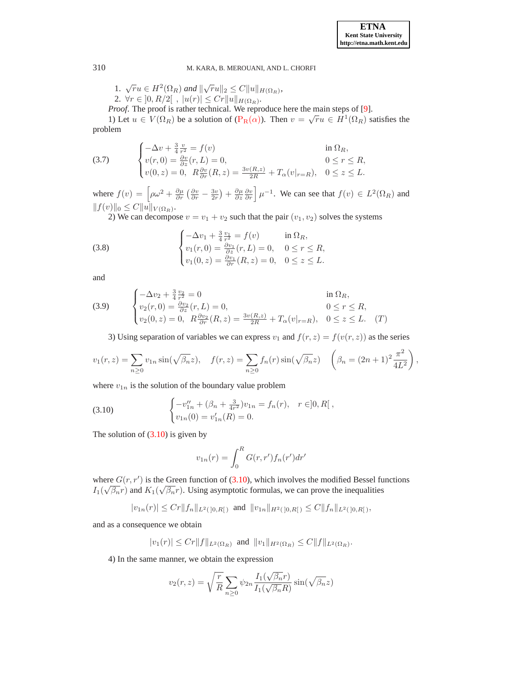1. 
$$
\sqrt{r}u \in H^2(\Omega_R)
$$
 and  $\|\sqrt{r}u\|_2 \leq C \|u\|_{H(\Omega_R)}$ ,

2.  $\forall r \in ]0, R/2[$ ,  $|u(r)| \leq Cr||u||_{H(\Omega_R)}$ . *Proof*. The proof is rather technical. We reproduce here the main steps of [\[9](#page-13-10)].

1) Let  $u \in V(\Omega_R)$  be a solution of  $(P_R(\alpha))$  $(P_R(\alpha))$  $(P_R(\alpha))$ . Then  $v = \sqrt{r}u \in H^1(\Omega_R)$  satisfies the problem

(3.7) 
$$
\begin{cases}\n-\Delta v + \frac{3}{4} \frac{v}{r^2} = f(v) & \text{in } \Omega_R, \\
v(r, 0) = \frac{\partial v}{\partial z}(r, L) = 0, & 0 \le r \le R, \\
v(0, z) = 0, & R \frac{\partial v}{\partial r}(R, z) = \frac{3v(R, z)}{2R} + T_\alpha(v|_{r=R}), & 0 \le z \le L.\n\end{cases}
$$

where  $f(v) = \left[\rho\omega^2 + \frac{\partial\mu}{\partial r}\left(\frac{\partial v}{\partial r} - \frac{3v}{2r}\right) + \frac{\partial\mu}{\partial z}\frac{\partial v}{\partial r}\right]\mu^{-1}$ . We can see that  $f(v) \in L^2(\Omega_R)$  and  $||f(v)||_0 \leq C||u||_{V(\Omega_R)}$ .

2) We can decompose  $v = v_1 + v_2$  such that the pair  $(v_1, v_2)$  solves the systems

(3.8) 
$$
\begin{cases}\n-\Delta v_1 + \frac{3}{4} \frac{v_1}{r^2} = f(v) & \text{in } \Omega_R, \\
v_1(r, 0) = \frac{\partial v_1}{\partial z}(r, L) = 0, & 0 \le r \le R, \\
v_1(0, z) = \frac{\partial v_1}{\partial r}(R, z) = 0, & 0 \le z \le L.\n\end{cases}
$$

and

(3.9) 
$$
\begin{cases}\n-\Delta v_2 + \frac{3}{4} \frac{v_2}{r^2} = 0 & \text{in } \Omega_R, \\
v_2(r, 0) = \frac{\partial v_2}{\partial z}(r, L) = 0, & 0 \le r \le R, \\
v_2(0, z) = 0, & R \frac{\partial v_2}{\partial r}(R, z) = \frac{3v(R, z)}{2R} + T_\alpha(v|_{r=R}), & 0 \le z \le L. \end{cases}
$$
(T)

3) Using separation of variables we can express  $v_1$  and  $f(r, z) = f(v(r, z))$  as the series

$$
v_1(r, z) = \sum_{n \ge 0} v_{1n} \sin(\sqrt{\beta_n} z), \quad f(r, z) = \sum_{n \ge 0} f_n(r) \sin(\sqrt{\beta_n} z) \quad \left(\beta_n = (2n + 1)^2 \frac{\pi^2}{4L^2}\right),
$$

where  $v_{1n}$  is the solution of the boundary value problem

(3.10) 
$$
\begin{cases} -v_{1n}'' + (\beta_n + \frac{3}{4r^2})v_{1n} = f_n(r), & r \in ]0, R[ ,\\ v_{1n}(0) = v_{1n}'(R) = 0. \end{cases}
$$

The solution of  $(3.10)$  is given by

<span id="page-7-0"></span>
$$
v_{1n}(r) = \int_0^R G(r, r') f_n(r') dr'
$$

where  $G(r, r')$  is the Green function of [\(3.10\)](#page-7-0), which involves the modified Bessel functions  $I_1(\sqrt{\beta_n}r)$  and  $K_1(\sqrt{\beta_n}r)$ . Using asymptotic formulas, we can prove the inequalities

$$
|v_{1n}(r)| \leq Cr \|f_n\|_{L^2([0,R])} \text{ and } \|v_{1n}\|_{H^2([0,R])} \leq C \|f_n\|_{L^2([0,R])},
$$

and as a consequence we obtain

$$
|v_1(r)| \leq Cr ||f||_{L^2(\Omega_R)}
$$
 and  $||v_1||_{H^2(\Omega_R)} \leq C ||f||_{L^2(\Omega_R)}$ .

4) In the same manner, we obtain the expression

$$
v_2(r,z) = \sqrt{\frac{r}{R}} \sum_{n\geq 0} \psi_{2n} \frac{I_1(\sqrt{\beta_n}r)}{I_1(\sqrt{\beta_n}R)} \sin(\sqrt{\beta_n}z)
$$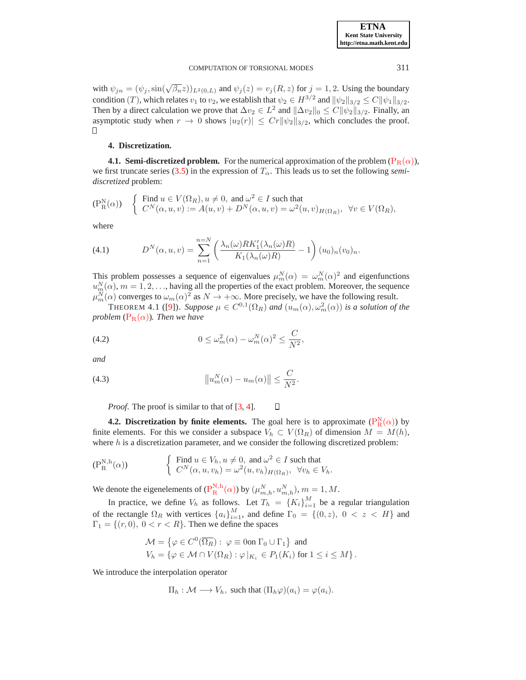with  $\psi_{jn} = (\psi_j, \sin(\sqrt{\beta_n}z))_{L^2(0,L)}$  and  $\psi_j(z) = v_j(R, z)$  for  $j = 1, 2$ . Using the boundary condition (T), which relates  $v_1$  to  $v_2$ , we establish that  $\psi_2 \in H^{3/2}$  and  $\|\psi_2\|_{3/2} \leq C \|\psi_1\|_{3/2}$ . Then by a direct calculation we prove that  $\Delta v_2 \in L^2$  and  $\|\Delta v_2\|_0 \le C \|\psi_2\|_{3/2}$ . Finally, an asymptotic study when  $r \to 0$  shows  $|u_2(r)| \leq Cr ||\psi_2||_{3/2}$ , which concludes the proof.  $\Box$ 

#### <span id="page-8-0"></span>**4. Discretization.**

**4.1. Semi-discretized problem.** For the numerical approximation of the problem  $(P_R(\alpha))$  $(P_R(\alpha))$  $(P_R(\alpha))$ , we first truncate series  $(3.5)$  in the expression of  $T_{\alpha}$ . This leads us to set the following *semidiscretized* problem:

<span id="page-8-1"></span>
$$
(\mathcal{P}^{\mathcal{N}}_{\mathcal{R}}(\alpha)) \quad \begin{cases} \text{ Find } u \in V(\Omega_R), u \neq 0, \text{ and } \omega^2 \in I \text{ such that} \\ C^N(\alpha, u, v) := A(u, v) + D^N(\alpha, u, v) = \omega^2(u, v)_{H(\Omega_R)}, \ \forall v \in V(\Omega_R), \end{cases}
$$

where

(4.1) 
$$
D^N(\alpha, u, v) = \sum_{n=1}^{n=N} \left( \frac{\lambda_n(\omega) R K_1'(\lambda_n(\omega) R)}{K_1(\lambda_n(\omega) R)} - 1 \right) (u_0)_n (v_0)_n.
$$

This problem possesses a sequence of eigenvalues  $\mu_m^N(\alpha) = \omega_m^N(\alpha)^2$  and eigenfunctions  $u_{m}^{N}(\alpha)$ ,  $m = 1, 2, \ldots$ , having all the properties of the exact problem. Moreover, the sequence  $\mu_m^N(\alpha)$  converges to  $\omega_m(\alpha)^2$  as  $N \to +\infty$ . More precisely, we have the following result.

THEOREM 4.1 ([\[9\]](#page-13-10)). *Suppose*  $\mu \in C^{0,1}(\Omega_R)$  and  $(u_m(\alpha), \omega_m^2(\alpha))$  is a solution of the *problem*  $(P_R(\alpha))$  $(P_R(\alpha))$  $(P_R(\alpha))$ *. Then we have* 

(4.2) 
$$
0 \leq \omega_m^2(\alpha) - \omega_m^N(\alpha)^2 \leq \frac{C}{N^2},
$$

*and*

(4.3) 
$$
\|u_m^N(\alpha)-u_m(\alpha)\| \leq \frac{C}{N^2}.
$$

*Proof.* The proof is similar to that of [\[3,](#page-13-5) [4\]](#page-13-12).

**4.2. Discretization by finite elements.** The goal here is to approximate  $(P_R^N(\alpha))$  $(P_R^N(\alpha))$  $(P_R^N(\alpha))$  by finite elements. For this we consider a subspace  $V_h \subset V(\Omega_R)$  of dimension  $M = M(h)$ , where  $h$  is a discretization parameter, and we consider the following discretized problem:

 $\Box$ 

<span id="page-8-2"></span>
$$
\begin{cases}\n\text{Find } u \in V_h, u \neq 0, \text{ and } \omega^2 \in I \text{ such that} \\
C^N(\alpha, u, v_h) = \omega^2(u, v_h)_{H(\Omega_R)}, \quad \forall v_h \in V_h.\n\end{cases}
$$

We denote the eigenelements of  $(P_R^{N,h}(\alpha))$  $(P_R^{N,h}(\alpha))$  $(P_R^{N,h}(\alpha))$  by  $(\mu_{m,h}^N, u_{m,h}^N)$ ,  $m = 1, M$ .

In practice, we define  $V_h$  as follows. Let  $T_h = \{K_i\}_{i=1}^M$  be a regular triangulation of the rectangle  $\Omega_R$  with vertices  $\{a_i\}_{i=1}^M$ , and define  $\Gamma_0 = \{(0, z), 0 < z < H\}$  and  $\Gamma_1 = \{(r, 0), 0 < r < R\}$ . Then we define the spaces

$$
\mathcal{M} = \{ \varphi \in C^0(\overline{\Omega_R}) : \varphi \equiv 0 \text{on } \Gamma_0 \cup \Gamma_1 \} \text{ and}
$$
  
\n
$$
V_h = \{ \varphi \in \mathcal{M} \cap V(\Omega_R) : \varphi \mid_{K_i} \in P_1(K_i) \text{ for } 1 \le i \le M \}.
$$

We introduce the interpolation operator

$$
\Pi_h : \mathcal{M} \longrightarrow V_h
$$
, such that  $(\Pi_h \varphi)(a_i) = \varphi(a_i)$ .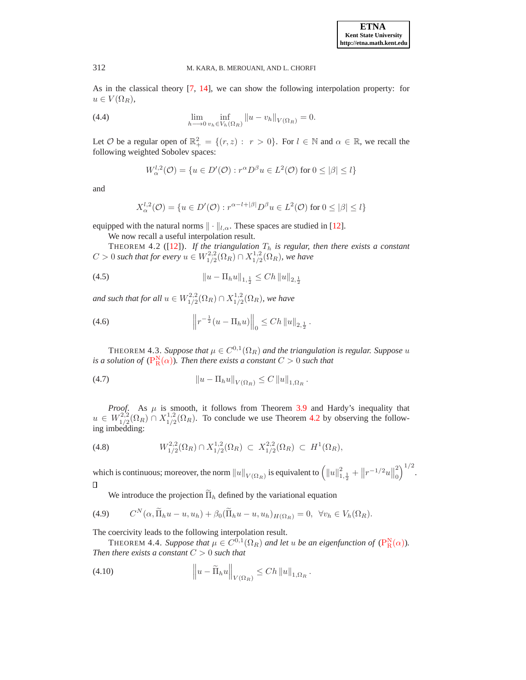As in the classical theory [\[7,](#page-13-13) [14](#page-13-14)], we can show the following interpolation property: for  $u \in V(\Omega_R),$ 

(4.4) 
$$
\lim_{h \to 0} \inf_{v_h \in V_h(\Omega_R)} \|u - v_h\|_{V(\Omega_R)} = 0.
$$

Let  $\mathcal O$  be a regular open of  $\mathbb{R}^2_+ = \{(r, z) : r > 0\}$ . For  $l \in \mathbb N$  and  $\alpha \in \mathbb{R}$ , we recall the following weighted Sobolev spaces:

$$
W_{\alpha}^{l,2}(\mathcal{O}) = \{ u \in D'(\mathcal{O}) : r^{\alpha} D^{\beta} u \in L^{2}(\mathcal{O}) \text{ for } 0 \leq |\beta| \leq l \}
$$

and

<span id="page-9-0"></span>
$$
X_{\alpha}^{l,2}(\mathcal{O}) = \{ u \in D'(\mathcal{O}) : r^{\alpha-l+|\beta|} D^{\beta} u \in L^2(\mathcal{O}) \text{ for } 0 \leq |\beta| \leq l \}
$$

equipped with the natural norms  $\|\cdot\|_{l,\alpha}$ . These spaces are studied in [\[12\]](#page-13-15).

We now recall a useful interpolation result.

THEOREM 4.2 ( $[12]$  $[12]$ ). *If the triangulation*  $T_h$  *is regular, then there exists a constant*  $C > 0$  such that for every  $u \in W^{2,2}_{1/2}$  $\chi_{1/2}^{2,2}(\Omega_R) \cap X_{1/2}^{1,2}$  $\frac{1}{1/2}(\Omega_R)$ , we have

(4.5) 
$$
||u - \Pi_h u||_{1, \frac{1}{2}} \leq Ch ||u||_{2, \frac{1}{2}}
$$

and such that for all  $u \in W^{2,2}_{1/2}$  $X^{2,2}_{1/2}(\Omega_R) \cap X^{1,2}_{1/2}$  $\frac{1}{1/2}(\Omega_R)$ , we have

(4.6) 
$$
\left\| r^{-\frac{1}{2}} (u - \Pi_h u) \right\|_0 \leq C h \left\| u \right\|_{2, \frac{1}{2}}.
$$

THEOREM 4.3. *Suppose that*  $\mu \in C^{0,1}(\Omega_R)$  and the triangulation is regular. Suppose u *is a solution of*  $(P_R^N(\alpha))$  $(P_R^N(\alpha))$  $(P_R^N(\alpha))$ *. Then there exists a constant*  $C > 0$  *such that* 

(4.7) 
$$
\|u - \Pi_h u\|_{V(\Omega_R)} \leq C \|u\|_{1,\Omega_R}.
$$

*Proof.* As  $\mu$  is smooth, it follows from Theorem [3.9](#page-6-2) and Hardy's inequality that  $u \in W^{2,2}_{1/2}$  $\frac{1}{2}^{2,2}(\Omega_R) \cap X^{1,2}_{1/2}$  $\frac{1}{1/2}(\Omega_R)$ . To conclude we use Theorem [4.2](#page-9-0) by observing the following imbedding:

(4.8) 
$$
W_{1/2}^{2,2}(\Omega_R) \cap X_{1/2}^{1,2}(\Omega_R) \subset X_{1/2}^{2,2}(\Omega_R) \subset H^1(\Omega_R),
$$

 $\big)^{1/2}.$ which is continuous; moreover, the norm  $\|u\|_{V(\Omega_R)}$  is equivalent to  $\left(\|u\|_{1,\frac{1}{2}}^2+\left\|r^{-1/2}u\right\|_0^2\right)$  $\theta$  $\Box$ 

We introduce the projection  $\widetilde{\Pi}_h$  defined by the variational equation

(4.9) 
$$
C^N(\alpha, \widetilde{\Pi}_h u - u, u_h) + \beta_0 (\widetilde{\Pi}_h u - u, u_h)_{H(\Omega_R)} = 0, \ \forall v_h \in V_h(\Omega_R).
$$

The coercivity leads to the following interpolation result.

THEOREM 4.4. *Suppose that*  $\mu \in C^{0,1}(\Omega_R)$  *and let u be an eigenfunction of*  $(P_R^N(\alpha))$  $(P_R^N(\alpha))$  $(P_R^N(\alpha))$ *. Then there exists a constant* C > 0 *such that*

(4.10) 
$$
\left\|u-\widetilde{\Pi}_h u\right\|_{V(\Omega_R)} \leq Ch \|u\|_{1,\Omega_R}.
$$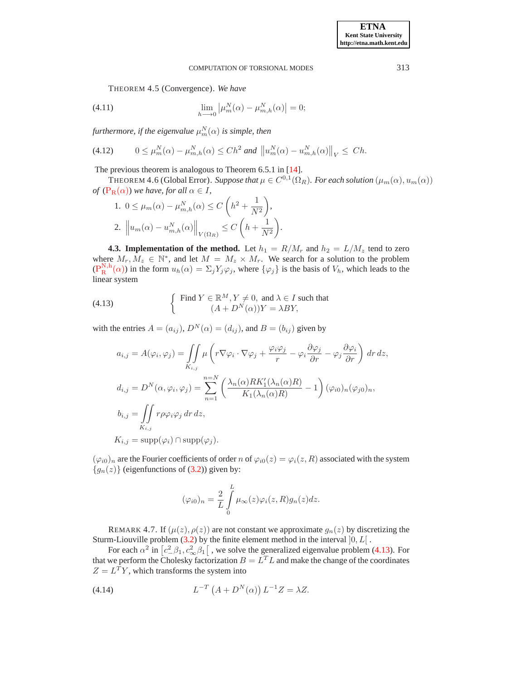THEOREM 4.5 (Convergence). *We have*

(4.11) 
$$
\lim_{h \to 0} |\mu_m^N(\alpha) - \mu_{m,h}^N(\alpha)| = 0;
$$

furthermore, if the eigenvalue  $\mu_{m}^{N}(\alpha)$  is simple, then

$$
(4.12) \qquad 0 \le \mu_m^N(\alpha) - \mu_{m,h}^N(\alpha) \le Ch^2 \text{ and } \left\|u_m^N(\alpha) - u_{m,h}^N(\alpha)\right\|_V \le Ch.
$$

The previous theorem is analogous to Theorem 6.5.1 in [\[14\]](#page-13-14).

THEOREM 4.6 (Global Error). *Suppose that*  $\mu \in C^{0,1}(\Omega_R)$ *. For each solution*  $(\mu_m(\alpha), u_m(\alpha))$ *of*  $(P_R(\alpha))$  $(P_R(\alpha))$  $(P_R(\alpha))$  *we have, for all*  $\alpha \in I$ *,* 

*.*

1. 
$$
0 \le \mu_m(\alpha) - \mu_{m,h}^N(\alpha) \le C\left(h^2 + \frac{1}{N^2}\right),
$$
  
2.  $\left\|u_m(\alpha) - u_{m,h}^N(\alpha)\right\|_{V(\Omega_R)} \le C\left(h + \frac{1}{N^2}\right)$ 

**4.3. Implementation of the method.** Let  $h_1 = R/M_r$  and  $h_2 = L/M_z$  tend to zero where  $M_r, M_z \in \mathbb{N}^*$ , and let  $M = M_z \times M_r$ . We search for a solution to the problem  $(P_R^{N,h}(\alpha))$  $(P_R^{N,h}(\alpha))$  $(P_R^{N,h}(\alpha))$  in the form  $u_h(\alpha) = \sum_j Y_j \varphi_j$ , where  $\{\varphi_j\}$  is the basis of  $V_h$ , which leads to the linear system

(4.13) 
$$
\begin{cases} \text{Find } Y \in \mathbb{R}^{M}, Y \neq 0, \text{ and } \lambda \in I \text{ such that} \\ (A + D^{N}(\alpha))Y = \lambda BY, \end{cases}
$$

with the entries  $A = (a_{ij}), D^N(\alpha) = (d_{ij}),$  and  $B = (b_{ij})$  given by

<span id="page-10-0"></span>
$$
a_{i,j} = A(\varphi_i, \varphi_j) = \iint_{K_{i,j}} \mu\left(r \nabla \varphi_i \cdot \nabla \varphi_j + \frac{\varphi_i \varphi_j}{r} - \varphi_i \frac{\partial \varphi_j}{\partial r} - \varphi_j \frac{\partial \varphi_i}{\partial r}\right) dr dz,
$$
  

$$
d_{i,j} = D^N(\alpha, \varphi_i, \varphi_j) = \sum_{n=1}^{n=N} \left(\frac{\lambda_n(\alpha)RK'_1(\lambda_n(\alpha)R)}{K_1(\lambda_n(\alpha)R)} - 1\right) (\varphi_{i0})_n (\varphi_{j0})_n,
$$
  

$$
b_{i,j} = \iint_{K_{i,j}} r \rho \varphi_i \varphi_j dr dz,
$$
  

$$
K_{i,j} = \text{supp}(\varphi_i) \cap \text{supp}(\varphi_j).
$$

 $(\varphi_{i0})_n$  are the Fourier coefficients of order n of  $\varphi_{i0}(z) = \varphi_i(z, R)$  associated with the system  ${g_n(z)}$  (eigenfunctions of [\(3.2\)](#page-3-1)) given by:

$$
(\varphi_{i0})_n = \frac{2}{L} \int\limits_0^L \mu_\infty(z) \varphi_i(z, R) g_n(z) dz.
$$

REMARK 4.7. If  $(\mu(z), \rho(z))$  are not constant we approximate  $g_n(z)$  by discretizing the Sturm-Liouville problem [\(3.2\)](#page-3-1) by the finite element method in the interval  $]0, L[$ .

For each  $\alpha^2$  in  $[c^2_{\alpha}\beta_1, c^2_{\infty}\beta_1]$ , we solve the generalized eigenvalue problem [\(4.13\)](#page-10-0). For that we perform the Cholesky factorization  $B = L^T L$  and make the change of the coordinates  $Z = L^T Y$ , which transforms the system into

(4.14) 
$$
L^{-T} (A + D^{N}(\alpha)) L^{-1} Z = \lambda Z.
$$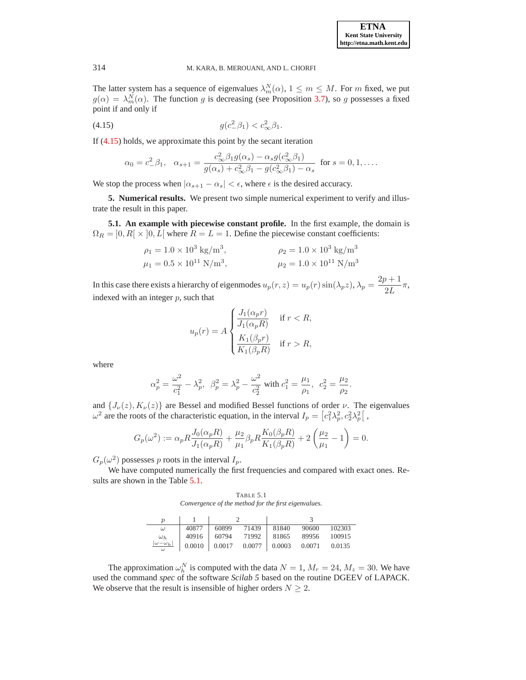The latter system has a sequence of eigenvalues  $\lambda_m^N(\alpha)$ ,  $1 \leq m \leq M$ . For m fixed, we put  $g(\alpha) = \lambda_m^N(\alpha)$ . The function g is decreasing (see Proposition [3.7\)](#page-6-1), so g possesses a fixed point if and only if

(4.15) 
$$
g(c_-^2 \beta_1) < c_\infty^2 \beta_1.
$$

If [\(4.15\)](#page-11-1) holds, we approximate this point by the secant iteration

<span id="page-11-1"></span>
$$
\alpha_0 = c_-^2 \beta_1, \quad \alpha_{s+1} = \frac{c_{\infty}^2 \beta_1 g(\alpha_s) - \alpha_s g(c_{\infty}^2 \beta_1)}{g(\alpha_s) + c_{\infty}^2 \beta_1 - g(c_{\infty}^2 \beta_1) - \alpha_s} \text{ for } s = 0, 1, ...
$$

<span id="page-11-0"></span>We stop the process when  $|\alpha_{s+1} - \alpha_s| < \epsilon$ , where  $\epsilon$  is the desired accuracy.

**5. Numerical results.** We present two simple numerical experiment to verify and illustrate the result in this paper.

**5.1. An example with piecewise constant profile.** In the first example, the domain is  $\Omega_R = [0, R] \times [0, L]$  where  $R = L = 1$ . Define the piecewise constant coefficients:

$$
\rho_1 = 1.0 \times 10^3 \text{ kg/m}^3, \qquad \rho_2 = 1.0 \times 10^3 \text{ kg/m}^3
$$
  

$$
\mu_1 = 0.5 \times 10^{11} \text{ N/m}^3, \qquad \mu_2 = 1.0 \times 10^{11} \text{ N/m}^3
$$

In this case there exists a hierarchy of eigenmodes  $u_p(r, z) = u_p(r) \sin(\lambda_p z)$ ,  $\lambda_p = \frac{2p+1}{2L}$  $\frac{1}{2L}\pi,$ indexed with an integer  $p$ , such that

$$
u_p(r) = A \begin{cases} \frac{J_1(\alpha_p r)}{J_1(\alpha_p R)} & \text{if } r < R, \\ \frac{K_1(\beta_p r)}{K_1(\beta_p R)} & \text{if } r > R, \end{cases}
$$

where

$$
\alpha_p^2 = \frac{\omega^2}{c_1^2} - \lambda_p^2, \ \ \beta_p^2 = \lambda_p^2 - \frac{\omega^2}{c_2^2} \ \text{with} \ c_1^2 = \frac{\mu_1}{\rho_1}, \ \ c_2^2 = \frac{\mu_2}{\rho_2}.
$$

and  $\{J_{\nu}(z), K_{\nu}(z)\}\$ are Bessel and modified Bessel functions of order  $\nu$ . The eigenvalues  $\omega^2$  are the roots of the characteristic equation, in the interval  $I_p = \left[c_1^2 \lambda_p^2, c_2^2 \lambda_p^2\right],$ 

$$
G_p(\omega^2) := \alpha_p R \frac{J_0(\alpha_p R)}{J_1(\alpha_p R)} + \frac{\mu_2}{\mu_1} \beta_p R \frac{K_0(\beta_p R)}{K_1(\beta_p R)} + 2\left(\frac{\mu_2}{\mu_1} - 1\right) = 0.
$$

 $G_p(\omega^2)$  possesses p roots in the interval  $I_p$ .

We have computed numerically the first frequencies and compared with exact ones. Results are shown in the Table [5.1.](#page-11-2)

<span id="page-11-2"></span>TABLE 5.1 *Convergence of the method for the first eigenvalues.*

| $\boldsymbol{\eta}$ |                             |  |  |                                             |        |
|---------------------|-----------------------------|--|--|---------------------------------------------|--------|
| $\omega$            | 40877   60899 71439   81840 |  |  | 90600                                       | 102303 |
| $\omega_h$          |                             |  |  | 40916 60794 71992 81865 89956 100915        |        |
| $ \omega-\omega_h $ |                             |  |  | $0.0010$ 0.0017 0.0077 0.0003 0.0071 0.0135 |        |

The approximation  $\omega_h^N$  is computed with the data  $N = 1$ ,  $M_r = 24$ ,  $M_z = 30$ . We have used the command *spec* of the software *Scilab 5* based on the routine DGEEV of LAPACK. We observe that the result is insensible of higher orders  $N \geq 2$ .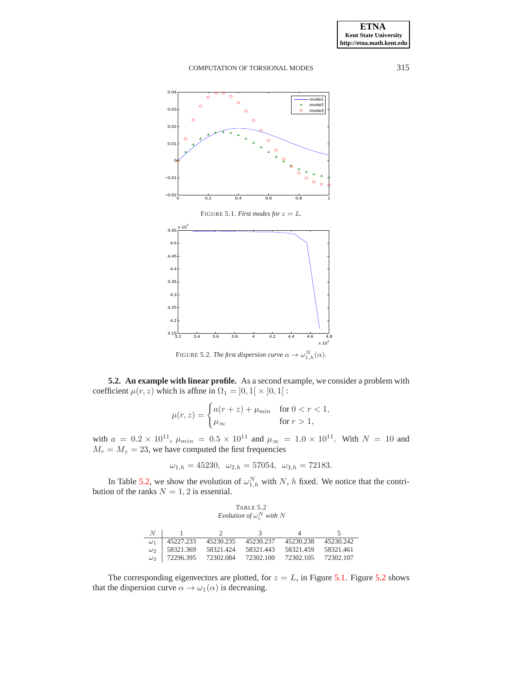<span id="page-12-1"></span>

**5.2. An example with linear profile.** As a second example, we consider a problem with coefficient  $\mu(r, z)$  which is affine in  $\Omega_1 = ]0, 1[ \times ]0, 1[$ :

<span id="page-12-2"></span>
$$
\mu(r,z) = \begin{cases} a(r+z) + \mu_{\min} & \text{for } 0 < r < 1, \\ \mu_{\infty} & \text{for } r > 1, \end{cases}
$$

with  $a = 0.2 \times 10^{11}$ ,  $\mu_{min} = 0.5 \times 10^{11}$  and  $\mu_{\infty} = 1.0 \times 10^{11}$ . With  $N = 10$  and  $M_r = M_z = 23$ , we have computed the first frequencies

$$
\omega_{1,h} = 45230, \ \omega_{2,h} = 57054, \ \omega_{3,h} = 72183.
$$

In Table [5.2,](#page-12-0) we show the evolution of  $\omega_{1,h}^N$  with N, h fixed. We notice that the contribution of the ranks  $N = 1, 2$  is essential.

<span id="page-12-0"></span>TABLE 5.2  
Evolution of 
$$
\omega_i^N
$$
 with N

| N          |                        |           | 3         |           |           |
|------------|------------------------|-----------|-----------|-----------|-----------|
| $\omega_1$ | 45227.233              | 45230.235 | 45230.237 | 45230.238 | 45230.242 |
| $\omega_2$ | 58321.369              | 58321424  | 58321443  | 58321.459 | 58321461  |
|            | $\omega_3$   72296.395 | 72302.084 | 72302.100 | 72302.105 | 72302.107 |

The corresponding eigenvectors are plotted, for  $z = L$ , in Figure [5.1.](#page-12-1) Figure [5.2](#page-12-2) shows that the dispersion curve  $\alpha \to \omega_1(\alpha)$  is decreasing.